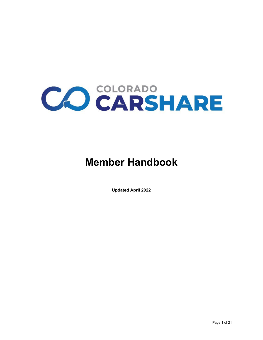

# **Member Handbook**

**Updated April 2022**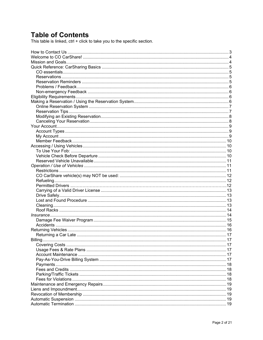## **Table of Contents**

This table is linked, ctrl + click to take you to the specific section.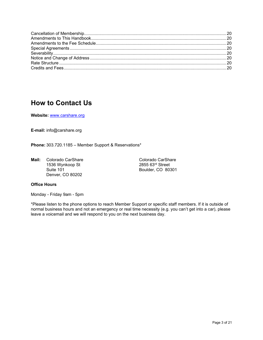## <span id="page-2-0"></span>**How to Contact Us**

**Website:** [www.carshare.org](http://www.carshare.org/)

**E-mail:** info@carshare.org

**Phone:** 303.720.1185 – Member Support & Reservations\*

**Mail:** Colorado CarShare Colorado CarShare Colorado CarShare<br>1536 Wynkoop St 2855 63<sup>rd</sup> Street 1536 Wynkoop St<br>Suite 101 Denver, CO 80202

Boulder, CO 80301

### **Office Hours**

Monday - Friday 9am - 5pm

\*Please listen to the phone options to reach Member Support or specific staff members. If it is outside of normal business hours and not an emergency or real time necessity (e.g. you can't get into a car), please leave a voicemail and we will respond to you on the next business day.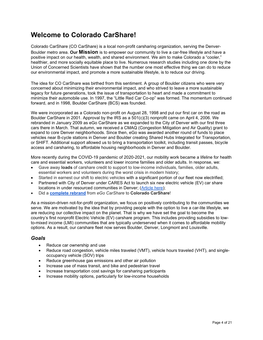## <span id="page-3-0"></span>**Welcome to Colorado CarShare!**

Colorado CarShare (CO CarShare) is a local non-profit carsharing organization, serving the Denver-Boulder metro area. **Our Mission** is to empower our community to live a car-free lifestyle and have a positive impact on our health, wealth, and shared environment. We aim to make Colorado a "cooler," healthier, and more socially equitable place to live. Numerous research studies including one done by the Union of Concerned Scientists have shown that the number one most effective thing we can do to reduce our environmental impact, and promote a more sustainable lifestyle, is to reduce our driving.

The idea for CO CarShare was birthed from this sentiment. A group of Boulder citizens who were very concerned about minimizing their environmental impact, and who strived to leave a more sustainable legacy for future generations, took the issue of transportation to heart and made a commitment to minimize their automobile use. In 1997, the "Little Red Car Co-op" was formed. The momentum continued forward, and in 1998, Boulder CarShare (BCS) was founded.

We were incorporated as a Colorado non-profit on August 28, 1998 and put our first car on the road as Boulder CarShare in 2001. Approval by the IRS as a 501(c)(3) nonprofit came on April 4, 2006. We rebranded in January 2009 as eGo CarShare as we expanded to the City of Denver with our first three cars there in March. That autumn, we received a CMAQ (Congestion Mitigation and Air Quality) grant to expand to core Denver neighborhoods. Since then, eGo was awarded another round of funds to place vehicles near B-cycle stations in Denver and Boulder creating Shared Hubs Integrated for Transportation, or SHIFT. Additional support allowed us to bring a transportation toolkit, including transit passes, bicycle access and carsharing, to affordable housing neighborhoods in Denver and Boulder.

More recently during the COVID-19 pandemic of 2020-2021, our mobility work became a lifeline for health care and essential workers, volunteers and lower income families and older adults. In response, we:

- Gave away **loads** of carshare credit to support to low-income individuals, families, older adults, essential workers and volunteers during the worst crisis in modern history;
- Started in earnest our shift to electric vehicles with a significant portion of our fleet now electrified;
- Partnered with City of Denver under CARES Act to launch six new electric vehicle (EV) car share locations in under resourced communities in Denver; [\(Article here\)](https://carshare.org/colorado-carshare-city-of-denver-launch-electric-car-share-program/);
- Did a **[complete rebrand](https://carshare.org/say-hello-to-colorado-carshare/)** from *eGo CarShare* to **Colorado CarShare**!

As a mission-driven not-for-profit organization, we focus on positively contributing to the communities we serve. We are motivated by the idea that by providing people with the option to live a car-lite lifestyle, we are reducing our collective impact on the planet. That is why we have set the goal to become the country's first nonprofit Electric Vehicle (EV) carshare program. This includes providing subsidies to lowto-mixed income (LMI) communities that are typically underserved when it comes to affordable mobility options. As a result, our carshare fleet now serves Boulder, Denver, Longmont and Louisville.

#### <span id="page-3-1"></span>*Goals*

- Reduce car ownership and use
- Reduce road congestion, vehicle miles traveled (VMT), vehicle hours traveled (VHT), and singleoccupancy vehicle (SOV) trips
- Reduce greenhouse gas emissions and other air pollution
- Increase use of mass transit, and bike and pedestrian travel
- Increase transportation cost savings for carsharing participants
- Increase mobility options, particularly for low-income households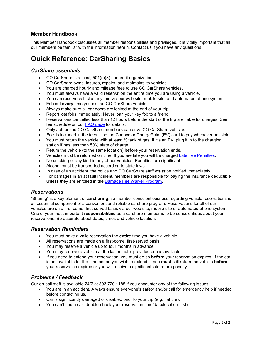### **Member Handbook**

This Member Handbook discusses all member responsibilities and privileges. It is vitally important that all our members be familiar with the information herein. Contact us if you have any questions.

## <span id="page-4-0"></span>**Quick Reference: CarSharing Basics**

### <span id="page-4-1"></span>*CarShare essentials*

- CO CarShare is a local, 501(c)(3) nonprofit organization.
- CO CarShare owns, insures, repairs, and maintains its vehicles.
- You are charged hourly and mileage fees to use CO CarShare vehicles.
- You must always have a valid reservation the entire time you are using a vehicle.
- You can reserve vehicles anytime via our web site, mobile site, and automated phone system.
- Fob out **every** time you exit an CO CarShare vehicle.
- Always make sure all car doors are locked at the end of your trip.
- Report lost fobs immediately; Never loan your key fob to a friend.
- Reservations cancelled less than 12 hours before the start of the trip are liable for charges. See fee schedule on our [FAQ page](https://carshare.org/carsharing-easy/faqs/) for details.
- Only authorized CO CarShare members can drive CO CarShare vehicles.
- Fuel is included in the fees. Use the Conoco or ChargePoint (EV) card to pay whenever possible.
- You must return the vehicle with at least  $\frac{1}{2}$  tank of gas; If it's an EV, plug it in to the charging station if has less than 50% state of charge
- Return the vehicle (to the same location) **before** your reservation ends.
- Vehicles must be returned on time. If you are late you will be charged [Late Fee Penalties.](https://carshare.org/fees-credits/)
- No smoking of any kind in any of our vehicles. Penalties are significant.
- Alcohol must be transported according to state laws.
- In case of an accident, the police and CO CarShare staff *must* be notified immediately.
- For damages in an at fault incident, members are responsible for paying the insurance deductible unless they are enrolled in the [Damage Fee Waiver Program.](https://carshare.org/damage-fee-waiver/)

### <span id="page-4-2"></span>*Reservations*

"Sharing" is a key element of car**sharing**, so member conscientiousness regarding vehicle reservations is an essential component of a convenient and reliable carshare program. Reservations for all of our vehicles are on a first-come, first served basis via our web site, mobile site or automated phone system. One of your most important **responsibilities** as a carshare member is to be conscientious about your reservations. Be accurate about dates, times and vehicle location.

#### <span id="page-4-3"></span>*Reservation Reminders*

- You must have a valid reservation the **entire** time you have a vehicle.
- All reservations are made on a first-come, first-served basis.
- You may reserve a vehicle up to four months in advance.
- You may reserve a vehicle at the last minute, provided one is available.
- If you need to extend your reservation, you must do so **before** your reservation expires. If the car is not available for the time period you wish to extend it, you **must** still return the vehicle **before** your reservation expires or you will receive a significant late return penalty.

### <span id="page-4-4"></span>*Problems / Feedback*

Our on-call staff is available 24/7 at 303.720.1185 if you encounter any of the following issues:

- You are in an accident. Always ensure everyone's safety and/or call for emergency help if needed before contacting us.
- Car is significantly damaged or disabled prior to your trip (e.g. flat tire).
- You can't find a car (double-check your reservation time/date/location first).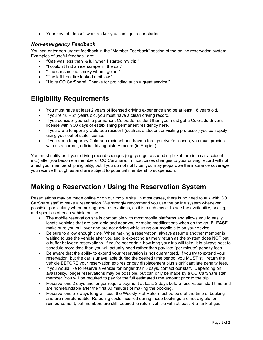• Your key fob doesn't work and/or you can't get a car started.

### <span id="page-5-0"></span>*Non-emergency Feedback*

You can enter non-urgent feedback in the "Member Feedback" section of the online reservation system. Examples of useful feedback are:

- "Gas was less than  $\frac{1}{2}$  full when I started my trip."
- "I couldn't find an ice scraper in the car."
- "The car smelled smoky when I got in."
- "The left front tire looked a bit low."
- "I love CO CarShare! Thanks for providing such a great service."

## <span id="page-5-1"></span>**Eligibility Requirements**

- You must have at least 2 years of licensed driving experience and be at least 18 years old.
- If you're  $18 21$  years old, you must have a clean driving record.
- If you consider yourself a permanent Colorado resident then you must get a Colorado driver's license within 30 days of establishing permanent residency here.
- If you are a temporary Colorado resident (such as a student or visiting professor) you can apply using your out of state license.
- If you are a temporary Colorado resident and have a foreign driver's license, you must provide with us a current, official driving history record (in English).

You must notify us if your driving record changes (e.g. you get a speeding ticket, are in a car accident, etc.) after you become a member of CO CarShare. In most cases changes to your driving record will not affect your membership eligibility, but if you do not notify us, you may jeopardize the insurance coverage you receive through us and are subject to potential membership suspension.

## <span id="page-5-2"></span>**Making a Reservation / Using the Reservation System**

Reservations may be made online or on our mobile site. In most cases, there is no need to talk with CO CarShare staff to make a reservation. We strongly recommend you use the online system whenever possible, particularly when making new reservations, as it is much easier to see the availability, pricing, and specifics of each vehicle online.

- The mobile reservation site is compatible with most mobile platforms and allows you to easily locate vehicles that are available and near you or make modifications when on the go. **PLEASE**  make sure you pull over and are not driving while using our mobile site on your device.
- Be sure to allow enough time. When making a reservation, always assume another member is waiting to use the vehicle after you and is expecting a timely return as the system does NOT put a buffer between reservations. If you're not certain how long your trip will take, it is always best to schedule more time than you will actually need rather than pay late "per minute" penalty fees.
- Be aware that the ability to extend your reservation is **not** guaranteed. If you try to extend your reservation, but the car is unavailable during the desired time period, you MUST still return the vehicle BEFORE your reservation expires or pay displacement plus significant late penalty fees.
- If you would like to reserve a vehicle for longer than 3 days, contact our staff. Depending on availability, longer reservations may be possible, but can only be made by a CO CarShare staff member. You will be required to pay for the full estimated time amount prior to the trip.
- Reservations 2 days and longer require payment at least 2 days before reservation start time and are nonrefundable after the first 30 minutes of making the booking.
- Reservations 5-7 days long will cost the Weekly Flat Rate, must be paid at the time of booking and are nonrefundable. Refueling costs incurred during these bookings are not eligible for reimbursement, but members are still required to return vehicle with at least ½ a tank of gas.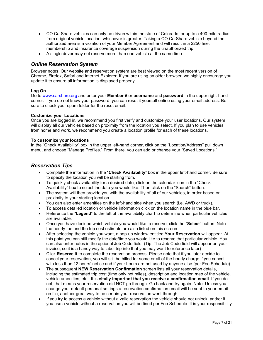- CO CarShare vehicles can only be driven within the state of Colorado, or up to a 400-mile radius from original vehicle location, whichever is greater. Taking a CO CarShare vehicle beyond the authorized area is a violation of your Member Agreement and will result in a \$250 fine, membership and insurance coverage suspension during the unauthorized trip.
- A single driver may not reserve more than one vehicle at the same time.

### <span id="page-6-0"></span>*Online Reservation System*

Browser notes: Our website and reservation system are best viewed on the most recent version of Chrome, Firefox, Safari and Internet Explorer. If you are using an older browser, we highly encourage you update it to ensure all information is displayed properly.

#### **Log On**

Go to [www.carshare.org](http://www.carshare.org/) and enter your **Member #** or **username** and **password** in the upper right-hand corner. If you do not know your password, you can reset it yourself online using your email address. Be sure to check your spam folder for the reset email.

#### **Customize your Locations**

Once you are logged in, we recommend you first verify and customize your user locations. Our system will display all our vehicles based on proximity from the location you select. If you plan to use vehicles from home and work, we recommend you create a location profile for each of these locations.

#### **To customize your locations**

In the "Check Availability" box in the upper left-hand corner, click on the "Location/Address" pull down menu, and choose "Manage Profiles." From there, you can add or change your "Saved Locations."

### <span id="page-6-1"></span>*Reservation Tips*

- Complete the information in the "**Check Availability**" box in the upper left-hand corner. Be sure to specify the location you will be starting from.
- To quickly check availability for a desired date, click on the calendar icon in the "Check Availability" box to select the date you would like. Then click on the "Search" button.
- The system will then provide you with the availability of all of our vehicles, in order based on proximity to your starting location.
- You can also enter amenities on the left-hand side when you search (i.e. AWD or truck).
- To access detailed location or vehicle information click on the location name in the blue bar.
- Reference the "**Legend**" to the left of the availability chart to determine when particular vehicles are available.
- Once you have decided which vehicle you would like to reserve, click the "**Select**" button. Note the hourly fee and the trip cost estimate are also listed on this screen.
- After selecting the vehicle you want, a pop-up window entitled **Your Reservation** will appear. At this point you can still modify the date/time you would like to reserve that particular vehicle. You can also enter notes in the optional Job Code field. (Tip: The Job Code field will appear on your invoice, so it is a handy way to label trip info that you may want to reference later)
- Click **Reserve It** to complete the reservation process. Please note that if you later decide to cancel your reservation, you will still be billed for some or all of the hourly charge if you cancel with less than 12 hours' notice and if your hours are not used by anyone else (per Fee Schedule)
- The subsequent **NEW Reservation Confirmation** screen lists all your reservation details, including the estimated trip cost (time only not miles), description and location map of the vehicle, vehicle amenities, etc. It is **vitally important that you receive a confirmation email**. If you do not, that means your reservation did NOT go through. Go back and try again. Note: Unless you change your default personal settings a reservation confirmation email will be sent to your email on file, another great way to be certain your reservation went through.
- If you try to access a vehicle without a valid reservation the vehicle should not unlock, and/or if you use a vehicle without a reservation you will be fined per Fee Schedule. It is your responsibility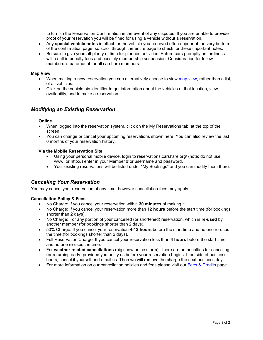to furnish the Reservation Confirmation in the event of any disputes. If you are unable to provide proof of your reservation you will be fined for using a vehicle without a reservation.

- Any **special vehicle notes** in effect for the vehicle you reserved often appear at the very bottom of the confirmation page, so scroll through the entire page to check for these important notes.
- Be sure to give yourself plenty of time for planned activities. Return cars promptly as tardiness will result in penalty fees and possibly membership suspension. Consideration for fellow members is paramount for all carshare members.

#### **Map View**

- When making a new reservation you can alternatively choose to view [map view,](https://reservations.carshare.org/cars) rather than a list, of all vehicles.
- Click on the vehicle pin identifier to get information about the vehicles at that location, view availability, and to make a reservation.

### <span id="page-7-0"></span>*Modifying an Existing Reservation*

#### **Online**

- When logged into the reservation system, click on the My Reservations tab, at the top of the screen.
- You can change or cancel your upcoming reservations shown here. You can also review the last 6 months of your reservation history.

#### **Via the Mobile Reservation Site**

- Using your personal mobile device, login to reservations.carshare.org/ (note: do not use www. or http://) enter in your Member # or username and password.
- Your existing reservations will be listed under "My Bookings" and you can modify them there.

### <span id="page-7-1"></span>*Canceling Your Reservation*

You may cancel your reservation at any time, however cancellation fees may apply.

#### **Cancellation Policy & Fees**

- No Charge: If you cancel your reservation within **30 minutes** of making it.
- No Charge: If you cancel your reservation more than **12 hours** before the start time (for bookings shorter than 2 days).
- No Charge: For any portion of your cancelled (or shortened) reservation, which is **re-used** by another member (for bookings shorter than 2 days).
- 50% Charge: If you cancel your reservation **4-12 hours** before the start time and no one re-uses the time (for bookings shorter than 2 days).
- Full Reservation Charge: If you cancel your reservation less than **4 hours** before the start time and no one re-uses the time.
- For **weather related cancellations** (big snow or ice storm) there are no penalties for canceling (or returning early) provided you notify us before your reservation begins. If outside of business hours, cancel it yourself and email us. Then we will remove the charge the next business day.
- For more information on our cancellation policies and fees please visit our [Fees & Credits](https://carshare.org/fees-credits/) page.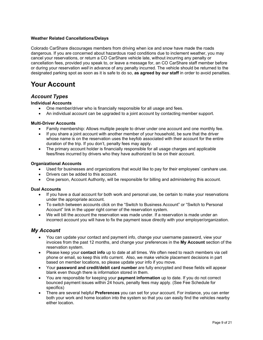#### **Weather Related Cancellations/Delays**

Colorado CarShare discourages members from driving when ice and snow have made the roads dangerous. If you are concerned about hazardous road conditions due to inclement weather, you may cancel your reservations, or return a CO CarShare vehicle late, without incurring any penalty or cancellation fees, provided you speak to, or leave a message for, an CO CarShare staff member before or during your reservation *well* in advance of any penalty incurred. The vehicle should be returned to the designated parking spot as soon as it is safe to do so, **as agreed by our staff** in order to avoid penalties.

## <span id="page-8-0"></span>**Your Account**

## <span id="page-8-1"></span>*Account Types*

#### **Individual Accounts**

- One member/driver who is financially responsible for all usage and fees.
- An individual account can be upgraded to a joint account by contacting member support.

#### **Multi-Driver Accounts**

- Family membership: Allows multiple people to driver under one account and one monthly fee.
- If you share a joint account with another member of your household, be sure that the driver whose name is on the reservation uses the keyfob associated with their account for the entire duration of the trip. If you don't, penalty fees may apply.
- The primary account holder is financially responsible for all usage charges and applicable fees/fines incurred by drivers who they have authorized to be on their account.

#### **Organizational Accounts**

- Used for businesses and organizations that would like to pay for their employees' carshare use.
- Drivers can be added to this account.
- One person, Account Authority, will be responsible for billing and administering this account.

#### **Dual Accounts**

- If you have a dual account for both work and personal use, be certain to make your reservations under the appropriate account.
- To switch between accounts click on the "Switch to Business Account" or "Switch to Personal Account" link in the upper right corner of the reservation system.
- We will bill the account the reservation was made under. If a reservation is made under an incorrect account you will have to fix the payment issue directly with your employer/organization.

### <span id="page-8-2"></span>*My Account*

- You can update your contact and payment info, change your username password, view your invoices from the past 12 months, and change your preferences in the **My Account** section of the reservation system.
- Please keep your **contact info** up to date at all times. We often need to reach members via cell phone or email, so keep this info current. Also, we make vehicle placement decisions in part based on member locations, so please update your info if you move.
- Your **password and credit/debit card number** are fully encrypted and these fields will appear blank even though there is information stored in them.
- You are responsible for keeping your **payment information** up to date. If you do not correct bounced payment issues within 24 hours, penalty fees may apply. (See Fee Schedule for specifics)
- There are several helpful **Preferences** you can set for your account. For instance, you can enter both your work and home location into the system so that you can easily find the vehicles nearby either location.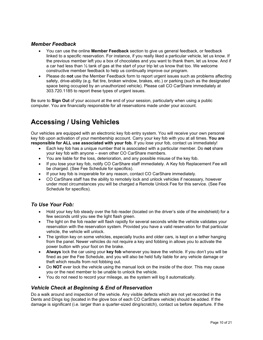### <span id="page-9-0"></span>*Member Feedback*

- You can use the online **Member Feedback** section to give us general feedback, or feedback linked to a specific reservation. For instance, if you really liked a particular vehicle, let us know. If the previous member left you a box of chocolates and you want to thank them, let us know. And if a car had less than  $\frac{1}{2}$  tank of gas at the start of your trip let us know that too. We welcome constructive member feedback to help us continually improve our program.
- Please do **not** use the Member Feedback form to report urgent issues such as problems affecting safety, drive-ability (e.g. flat tire, broken window, brakes, etc.) or parking (such as the designated space being occupied by an unauthorized vehicle). Please call CO CarShare immediately at 303.720.1185 to report these types of urgent issues.

Be sure to **Sign Out** of your account at the end of your session, particularly when using a public computer. You are financially responsible for all reservations made under your account.

## <span id="page-9-1"></span>**Accessing / Using Vehicles**

Our vehicles are equipped with an electronic key fob entry system. You will receive your own personal key fob upon activation of your membership account. Carry your key fob with you at all times. **You are responsible for ALL use associated with your fob.** If you lose your fob, contact us immediately!

- Each key fob has a unique number that is associated with a particular member. Do **not** share your key fob with anyone – even other CO CarShare members.
- You are liable for the loss, deterioration, and any possible misuse of the key fob.
- If you lose your key fob, notify CO CarShare staff immediately. A Key fob Replacement Fee will be charged. (See Fee Schedule for specifics).
- If your key fob is inoperable for any reason, contact CO CarShare immediately.
- CO CarShare staff has the ability to remotely lock and unlock vehicles if necessary, however under most circumstances you will be charged a Remote Unlock Fee for this service. (See Fee Schedule for specifics).

## <span id="page-9-2"></span>*To Use Your Fob:*

- Hold your key fob steady over the fob reader (located on the driver's side of the windshield) for a few seconds until you see the light flash green.
- The light on the fob reader will flash rapidly for several seconds while the vehicle validates your reservation with the reservation system. Provided you have a valid reservation for that particular vehicle, the vehicle will unlock.
- The ignition key on some vehicles, especially trucks and older cars, is kept on a tether hanging from the panel. Newer vehicles do not require a key and fobbing in allows you to activate the power button with your foot on the brake.
- **Always** lock the car using your **key fob** whenever you leave the vehicle. If you don't you will be fined as per the Fee Schedule, and you will also be held fully liable for any vehicle damage or theft which results from not fobbing out.
- Do **NOT** ever lock the vehicle using the manual lock on the inside of the door. This may cause you or the next member to be unable to unlock the vehicle.
- You do not need to record your mileage, as the system will log it automatically.

## <span id="page-9-3"></span>*Vehicle Check at Beginning & End of Reservation*

Do a walk around and inspection of the vehicle. Any visible defects which are not yet recorded in the Dents and Dings log (located in the glove box of each CO CarShare vehicle) should be added. If the damage is significant (i.e. larger than a quarter-sized ding/scratch), contact us before departure. If the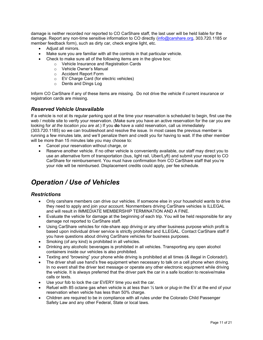damage is neither recorded nor reported to CO CarShare staff, the last user will be held liable for the damage. Report any non-time sensitive information to CO directly [\(info@carshare.org,](mailto:info@carshare.org) 303.720.1185 or member feedback form), such as dirty car, check engine light, etc.

- Adjust all mirrors.
- Make sure you are familiar with all the controls in that particular vehicle.
- Check to make sure all of the following items are in the glove box:
	- o Vehicle Insurance and Registration Cards
	- o Vehicle Owner's Manual
	- o Accident Report Form
	- o EV Charge Card (for electric vehicles)
	- o Dents and Dings Log

Inform CO CarShare if any of these items are missing. Do not drive the vehicle if current insurance or registration cards are missing.

### <span id="page-10-0"></span>*Reserved Vehicle Unavailable*

If a vehicle is not at its regular parking spot at the time your reservation is scheduled to begin, first use the web / mobile site to verify your reservation. (Make sure you have an active reservation for the car you are looking for *at the location you are at*.) If you **do** have a valid reservation, call us immediately (303.720.1185) so we can troubleshoot and resolve the issue. In most cases the previous member is running a few minutes late, and we'll penalize them and credit you for having to wait. If the other member will be more than 15 minutes late you may choose to:

- Cancel your reservation without charge, or
- Reserve another vehicle. If no other vehicle is conveniently available, our staff may direct you to use an alternative form of transportation (bus, light rail, Uber/Lyft) and submit your receipt to CO CarShare for reimbursement. You must have confirmation from CO CarShare staff that you're your ride will be reimbursed. Displacement credits could apply, per fee schedule.

## <span id="page-10-1"></span>*Operation / Use of Vehicles*

### <span id="page-10-2"></span>*Restrictions*

- Only carshare members can drive our vehicles. If someone else in your household wants to drive they need to apply and join your account. Nonmembers driving CarShare vehicles is ILLEGAL and will result in IMMEDIATE MEMBERSHIP TERMINATION AND A FINE.
- Evaluate the vehicle for damage at the beginning of each trip. You will be held responsible for any damage not reported to CarShare staff.
- Using CarShare vehicles for ride-share app driving or any other business purpose which profit is based upon individual driver service is strictly prohibited and ILLEGAL. Contact CarShare staff if you have questions about driving CarShare vehicles for business purposes.
- Smoking (of any kind) is prohibited in all vehicles.
- Drinking any alcoholic beverages is prohibited in all vehicles. Transporting any open alcohol containers inside our vehicles is also prohibited.
- Texting and "browsing" your phone while driving is prohibited at all times (& illegal in Colorado!).
- The driver shall use hand's free equipment when necessary to talk on a cell phone when driving. In no event shall the driver text message or operate any other electronic equipment while driving the vehicle. It is always preferred that the driver park the car in a safe location to receive/make calls or texts.
- Use your fob to lock the car EVERY time you exit the car.
- Refuel with 85 octane gas when vehicle is at less than  $\frac{1}{2}$  tank or plug-in the EV at the end of your reservation when vehicle has less than 50% charge.
- Children are required to be in compliance with all rules under the Colorado Child Passenger Safety Law and any other Federal, State or local laws.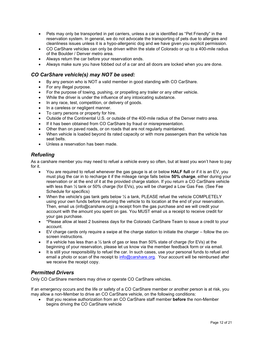- Pets may only be transported in pet carriers, unless a car is identified as "Pet Friendly" in the reservation system. In general, we do not advocate the transporting of pets due to allergies and cleanliness issues unless it is a hypo-allergenic dog and we have given you explicit permission.
- CO CarShare vehicles can only be driven within the state of Colorado or up to a 400-mile radius of the Boulder / Denver metro area.
- Always return the car before your reservation ends.
- Always make sure you have fobbed out of a car and all doors are locked when you are done.

### <span id="page-11-0"></span>*CO CarShare vehicle(s) may NOT be used:*

- By any person who is NOT a valid member in good standing with CO CarShare.
- For any illegal purpose.
- For the purpose of towing, pushing, or propelling any trailer or any other vehicle.
- While the driver is under the influence of any intoxicating substance.
- In any race, test, competition, or delivery of goods.
- In a careless or negligent manner.
- To carry persons or property for hire.
- Outside of the Continental U.S. or outside of the 400-mile radius of the Denver metro area.
- If it has been obtained from CO CarShare by fraud or misrepresentation.
- Other than on paved roads, or on roads that are not regularly maintained.
- When vehicle is loaded beyond its rated capacity or with more passengers than the vehicle has seat belts.
- Unless a reservation has been made.

## <span id="page-11-1"></span>*Refueling*

As a carshare member you may need to refuel a vehicle every so often, but at least you won't have to pay for it.

- You are required to refuel whenever the gas gauge is at or below **HALF full** or if it is an EV, you must plug the car in to recharge it if the mileage range falls below **50% charge**, either during your reservation or at the end of it at the provided charge station. If you return a CO CarShare vehicle with less than ½ tank or 50% charge (for EVs), you will be charged a Low Gas Fee. (See Fee Schedule for specifics)
- When the vehicle's gas tank gets below  $\frac{1}{2}$  a tank, PLEASE refuel the vehicle COMPLETELY using your own funds before returning the vehicle to its location at the end of your reservation. Then, email us (info@carshare.org) a receipt from the gas purchase and we will credit your account with the amount you spent on gas. You MUST email us a receipt to receive credit for your gas purchase.
- \*Please allow at least 2 business days for the Colorado CarShare Team to issue a credit to your account.
- EV charge cards only require a swipe at the charge station to initiate the charger follow the onscreen instructions.
- If a vehicle has less than a  $\frac{1}{2}$  tank of gas or less than 50% state of charge (for EVs) at the beginning of your reservation, please let us know via the member feedback form or via email.
- It is still your responsibility to refuel the car. In such cases, use your personal funds to refuel and email a photo or scan of the receipt to [info@carshare.org.](mailto:info@carshare.org) Your account will be reimbursed after we receive the receipt copy.

## <span id="page-11-2"></span>*Permitted Drivers*

Only CO CarShare members may drive or operate CO CarShare vehicles.

If an emergency occurs and the life or safety of a CO CarShare member or another person is at risk, you may allow a non-Member to drive an CO CarShare vehicle, on the following conditions:

• that you receive authorization from an CO CarShare staff member **before** the non-Member begins driving the CO CarShare vehicle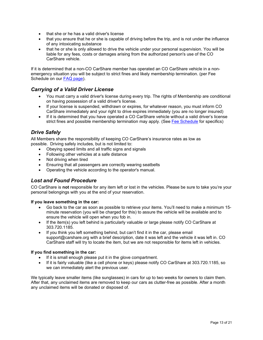- that she or he has a valid driver's license
- that you ensure that he or she is capable of driving before the trip, and is not under the influence of any intoxicating substance
- that he or she is only allowed to drive the vehicle under your personal supervision. You will be liable for any fees, costs or damages arising from the authorized person's use of the CO CarShare vehicle.

If it is determined that a non-CO CarShare member has operated an CO CarShare vehicle in a nonemergency situation you will be subject to strict fines and likely membership termination. (per Fee Schedule on our [FAQ page\)](https://carshare.org/carsharing-easy/faqs/).

## <span id="page-12-0"></span>*Carrying of a Valid Driver License*

- You must carry a valid driver's license during every trip. The rights of Membership are conditional on having possession of a valid driver's license.
- If your license is suspended, withdrawn or expires, for whatever reason, you must inform CO CarShare immediately and your right to drive expires immediately (you are no longer insured)
- If it is determined that you have operated a CO CarShare vehicle without a valid driver's license strict fines and possible membership termination may apply. (See Fee [Schedule](http://carshare.org/sites/default/files/eGo%20CarShare%20Fees.pdf) for specifics)

## <span id="page-12-1"></span>*Drive Safely*

All Members share the responsibility of keeping CO CarShare's insurance rates as low as possible. Driving safely includes, but is not limited to:

- Obeying speed limits and all traffic signs and signals
- Following other vehicles at a safe distance
- Not driving when tired
- Ensuring that all passengers are correctly wearing seatbelts
- Operating the vehicle according to the operator's manual.

### <span id="page-12-2"></span>*Lost and Found Procedure*

CO CarShare is **not** responsible for any item left or lost in the vehicles. Please be sure to take you're your personal belongings with you at the end of your reservation.

#### **If you leave something in the car:**

- Go back to the car as soon as possible to retrieve your items. You'll need to make a minimum 15 minute reservation (you will be charged for this) to assure the vehicle will be available and to ensure the vehicle will open when you fob in.
- If the item(s) you left behind is particularly valuable or large please notify CO CarShare at 303.720.1185.
- If you think you left something behind, but can't find it in the car, please email support@carshare.org with a brief description, date it was left and the vehicle it was left in. CO CarShare staff will try to locate the item, but we are not responsible for items left in vehicles.

#### **If you find something in the car:**

- If it is small enough please put it in the glove compartment.
- If it is fairly valuable (like a cell phone or keys) please notify CO CarShare at 303.720.1185, so we can immediately alert the previous user.

We typically leave smaller items (like sunglasses) in cars for up to two weeks for owners to claim them. After that, any unclaimed items are removed to keep our cars as clutter-free as possible. After a month any unclaimed items will be donated or disposed of.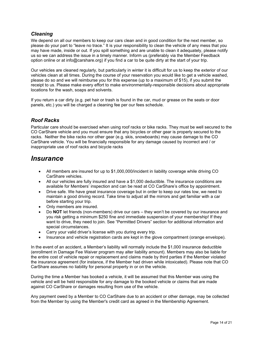## <span id="page-13-0"></span>*Cleaning*

We depend on all our members to keep our cars clean and in good condition for the next member, so please do your part to "leave no trace." It is your responsibility to clean the vehicle of any mess that you may have made, inside or out. If you spill something and are unable to clean it adequately, please notify us so we can address the issue in a timely manner. Inform us (preferably via the Member Feedback option online or at info@carshare.org) if you find a car to be quite dirty at the start of your trip.

Our vehicles are cleaned regularly, but particularly in winter it is difficult for us to keep the exterior of our vehicles clean at all times. During the course of your reservation you would like to get a vehicle washed, please do so and we will reimburse you for this expense (up to a maximum of \$15), if you submit the receipt to us. Please make every effort to make environmentally-responsible decisions about appropriate locations for the wash, soaps and solvents.

If you return a car dirty (e.g. pet hair or trash is found in the car, mud or grease on the seats or door panels, etc.) you will be charged a cleaning fee per our fees schedule.

## <span id="page-13-1"></span>*Roof Racks*

Particular care should be exercised when using roof racks or bike racks. They must be well secured to the CO CarShare vehicle and you must ensure that any bicycles or other gear is properly secured to the racks. Neither the bike racks nor other gear (e.g. skis, snowboards) may cause damage to the CO CarShare vehicle. You will be financially responsible for any damage caused by incorrect and / or inappropriate use of roof racks and bicycle racks

## <span id="page-13-2"></span>*Insurance*

- All members are insured for up to \$1,000,000/incident in liability coverage while driving CO CarShare vehicles.
- All our vehicles are fully insured and have a \$1,000 deductible. The insurance conditions are available for Members' inspection and can be read at CO CarShare's office by appointment.
- Drive safe. We have great insurance coverage but in order to keep our rates low, we need to maintain a good driving record. Take time to adjust all the mirrors and get familiar with a car before starting your trip.
- Only members are insured.
- Do **NOT** let friends (non-members) drive our cars they won't be covered by our insurance and you risk getting a minimum \$250 fine and immediate suspension of your membership! If they want to drive, they need to join. See "Permitted Drivers" section for additional information and special circumstances.
- Carry your valid driver's license with you during every trip.
- Insurance and vehicle registration cards are kept in the glove compartment (orange envelope).

In the event of an accident, a Member's liability will normally include the \$1,000 insurance deductible (enrollment in Damage Fee Waiver program may alter liability amount). Members may also be liable for the entire cost of vehicle repair or replacement and claims made by third parties if the Member violated the insurance agreement (for instance, if the Member had driven while intoxicated). Please note that CO CarShare assumes no liability for personal property in or on the vehicle.

During the time a Member has booked a vehicle, it will be assumed that this Member was using the vehicle and will be held responsible for any damage to the booked vehicle or claims that are made against CO CarShare or damages resulting from use of the vehicle.

Any payment owed by a Member to CO CarShare due to an accident or other damage, may be collected from the Member by using the Member's credit card as agreed in the Membership Agreement.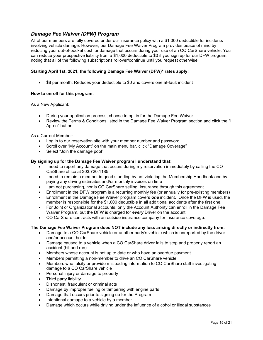## <span id="page-14-0"></span>*Damage Fee Waiver (DFW) Program*

All of our members are fully covered under our insurance policy with a \$1,000 deductible for incidents involving vehicle damage. However, our Damage Fee Waiver Program provides peace of mind by reducing your out-of-pocket cost for damage that occurs during your use of an CO CarShare vehicle. You can reduce your prospective liability from a \$1,000 deductible to \$0 if you sign up for our DFW program, noting that all of the following subscriptions rollover/continue until you request otherwise:

#### **Starting April 1st, 2021, the following Damage Fee Waiver (DFW)\* rates apply:**

• \$8 per month; Reduces your deductible to \$0 and covers one at-fault incident

#### **How to enroll for this program:**

As a New Applicant:

- During your application process, choose to opt in for the Damage Fee Waiver
- Review the Terms & Conditions listed in the Damage Fee Waiver Program section and click the "I Agree" button.

As a Current Member:

- Log in to our reservation site with your member number and password.
- Scroll over "My Account" on the main menu bar, click "Damage Coverage"
- Select "Join the damage pool"

#### **By signing up for the Damage Fee Waiver program I understand that:**

- I need to report any damage that occurs during my reservation immediately by calling the CO CarShare office at 303.720.1185
- I need to remain a member in good standing by not violating the Membership Handbook and by paying any driving estimates and/or monthly invoices on time
- I am not purchasing, nor is CO CarShare selling, insurance through this agreement
- Enrollment in the DFW program is a recurring monthly fee (or annually for pre-existing members)
- Enrollment in the Damage Fee Waiver program covers *one* incident. Once the DFW is used, the member is responsible for the \$1,000 deductible in all additional accidents after the first one.
- For Joint or Organizational accounts, only the Account Authority can enroll in the Damage Fee Waiver Program, but the DFW is charged for *every* Driver on the account.
- CO CarShare contracts with an outside insurance company for insurance coverage.

#### **The Damage Fee Waiver Program does NOT include any loss arising directly or indirectly from:**

- Damage to a CO CarShare vehicle or another party's vehicle which is unreported by the driver and/or account holder
- Damage caused to a vehicle when a CO CarShare driver fails to stop and properly report an accident (hit and run)
- Members whose account is not up to date or who have an overdue payment
- Members permitting a non-member to drive an CO CarShare vehicle
- Members who falsify or provide misleading information to CO CarShare staff investigating damage to a CO CarShare vehicle
- Personal injury or damage to property
- Third party liability
- Dishonest, fraudulent or criminal acts
- Damage by improper fueling or tampering with engine parts
- Damage that occurs prior to signing up for the Program
- Intentional damage to a vehicle by a member
- Damage which occurs while driving under the influence of alcohol or illegal substances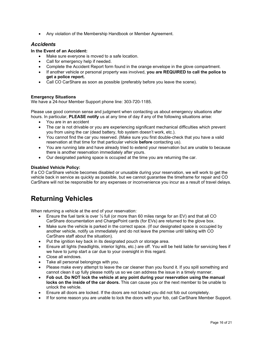• Any violation of the [Membership Handbook](http://carshare.org/sites/default/files/eGo%20CarShare%20Member%20Handbook%200912.pdf) or Member Agreement.

### <span id="page-15-0"></span>*Accidents*

#### **In the Event of an Accident:**

- Make sure everyone is moved to a safe location.
- Call for emergency help if needed.
- Complete the Accident Report form found in the orange envelope in the glove compartment.
- If another vehicle or personal property was involved, **you are REQUIRED to call the police to get a police report.**
- Call CO CarShare as soon as possible (preferably before you leave the scene).

#### **Emergency Situations**

We have a 24-hour Member Support phone line: 303-720-1185.

Please use good common sense and judgment when contacting us about emergency situations after hours. In particular, **PLEASE notify** us at any time of day if any of the following situations arise:

- You are in an accident
- The car is not drivable or you are experiencing significant mechanical difficulties which prevent you from using the car (dead battery, fob system doesn't work, etc.).
- You cannot find the car you reserved. (Make sure you first double-check that you have a valid reservation at that time for that particular vehicle **before** contacting us).
- You are running late and have already tried to extend your reservation but are unable to because there is another reservation immediately after yours.
- Our designated parking space is occupied at the time you are returning the car.

#### **Disabled Vehicle Policy:**

If a CO CarShare vehicle becomes disabled or unusable during your reservation, we will work to get the vehicle back in service as quickly as possible, but we cannot guarantee the timeframe for repair and CO CarShare will not be responsible for any expenses or inconvenience you incur as a result of travel delays.

## <span id="page-15-1"></span>**Returning Vehicles**

When returning a vehicle at the end of your reservation:

- Ensure the fuel tank is over  $\frac{1}{2}$  full (or more than 60 miles range for an EV) and that all CO CarShare documentation and ChargePoint cards (for EVs) are returned to the glove box.
- Make sure the vehicle is parked in the correct space. (If our designated space is occupied by another vehicle, notify us immediately and do not leave the premise until talking with CO CarShare staff about the situation).
- Put the ignition key back in its designated pouch or storage area.
- Ensure all lights (headlights, interior lights, etc.) are off. You will be held liable for servicing fees if we have to jump start a car due to your oversight in this regard.
- Close all windows.
- Take all personal belongings with you.
- Please make every attempt to leave the car cleaner than you found it. If you spill something and cannot clean it up fully please notify us so we can address the issue in a timely manner.
- **Fob out. Do NOT lock the vehicle at any point during your reservation using the manual locks on the inside of the car doors.** This can cause you or the next member to be unable to unlock the vehicle.
- Ensure all doors are locked. If the doors are not locked you did not fob out completely.
- If for some reason you are unable to lock the doors with your fob, call CarShare Member Support.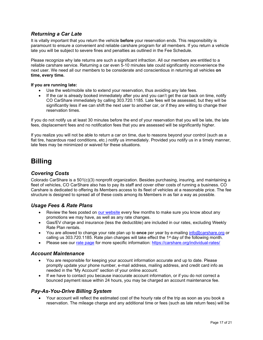## <span id="page-16-0"></span>*Returning a Car Late*

It is vitally important that you return the vehicle **before** your reservation ends. This responsibility is paramount to ensure a convenient and reliable carshare program for all members. If you return a vehicle late you will be subject to severe fines and penalties as outlined in the Fee Schedule.

Please recognize why late returns are such a significant infraction. All our members are entitled to a reliable carshare service. Returning a car even 5-10 minutes late could significantly inconvenience the next user. We need all our members to be considerate and conscientious in returning all vehicles **on time, every time.**

#### **If you are running late:**

- Use the web/mobile site to extend your reservation, thus avoiding any late fees.
- If the car is already booked immediately after you and you can't get the car back on time, notify CO CarShare immediately by calling 303.720.1185. Late fees will be assessed, but they will be significantly less if we can shift the next user to another car, or if they are willing to change their reservation times.

If you do not notify us at least 30 minutes before the end of your reservation that you will be late, the late fees, displacement fees and no notification fees that you are assessed will be significantly higher.

If you realize you will not be able to return a car on time, due to reasons beyond your control (such as a flat tire, hazardous road conditions, etc.) notify us immediately. Provided you notify us in a timely manner, late fees may be minimized or waived for these situations.

## <span id="page-16-1"></span>**Billing**

## <span id="page-16-2"></span>*Covering Costs*

Colorado CarShare is a 501(c)(3) nonprofit organization. Besides purchasing, insuring, and maintaining a fleet of vehicles, CO CarShare also has to pay its staff and cover other costs of running a business. CO Carshare is dedicated to offering its Members access to its fleet of vehicles at a reasonable price. The fee structure is designed to spread all of these costs among its Members in as fair a way as possible.

### <span id="page-16-3"></span>*Usage Fees & Rate Plans*

- Review the fees posted on [our website](https://carshare.org/individual-rates/) every few months to make sure you know about any promotions we may have, as well as any rate changes.
- Gas/EV charge and insurance (less the deductible) are included in our rates, excluding Weekly Rate Plan rentals.
- You are allowed to change your rate plan up to **once** per year by e-mailing [info@carshare.org](mailto:info@carshare.org) or calling us 303.720.1185. Rate plan changes will take effect the 1<sup>st</sup> day of the following month.
- Please see our [rate page](https://carshare.org/individual-rates/) for more specific information:<https://carshare.org/individual-rates/>

#### <span id="page-16-4"></span>*Account Maintenance*

- You are responsible for keeping your account information accurate and up to date. Please promptly update your phone number, e-mail address, mailing address, and credit card info as needed in the "My Account" section of your online account.
- If we have to contact you because inaccurate account information, or if you do not correct a bounced payment issue within 24 hours, you may be charged an account maintenance fee.

### <span id="page-16-5"></span>*Pay-As-You-Drive Billing System*

• Your account will reflect the estimated cost of the hourly rate of the trip as soon as you book a reservation. The mileage charge and any additional time or fees (such as late return fees) will be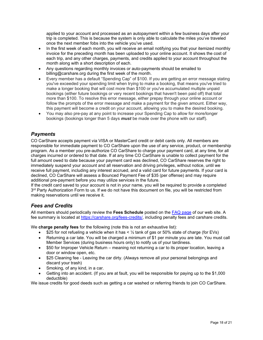applied to your account and processed as an autopayment within a few business days after your trip is completed. This is because the system is only able to calculate the miles you've traveled once the next member fobs into the vehicle you've used.

- In the first week of each month, you will receive an email notifying you that your itemized monthly invoice for the preceding month has been uploaded to your online account. It shows the cost of each trip, and any other charges, payments, and credits applied to your account throughout the month along with a short description of each.
- Any questions regarding monthly invoices or auto-payments should be emailed to [billing@carshare.org](mailto:billing@carshare.org) during the first week of the month.
- Every member has a default "Spending Cap" of \$100. If you are getting an error message stating you've exceeded your spending limit when trying to make a booking, that means you've tried to make a longer booking that will cost more than \$100 or you've accumulated multiple unpaid bookings (either future bookings or very recent bookings that haven't been paid off) that total more than \$100. To resolve this error message, either prepay through your online account or follow the prompts of the error message and make a payment for the given amount. Either way, this payment will become a credit on your account, allowing you to make the desired booking.
- You may also pre-pay at any point to increase your Spending Cap to allow for more/longer bookings (bookings longer than 5 days *must* be made over the phone with our staff).

## <span id="page-17-0"></span>*Payments*

CO CarShare accepts payment via VISA or MasterCard credit or debit cards only. All members are responsible for immediate payment to CO CarShare upon the use of any service, product, or membership program. As a member you pre-authorize CO CarShare to charge your payment card, at any time, for all charges incurred or ordered to that date. If at any time CO CarShare is unable to collect payment for the full amount owed to date because your payment card was declined, CO CarShare reserves the right to immediately suspend your account and all reservation and driving privileges, without notice, until we receive full payment, including any interest accrued, and a valid card for future payments. If your card is declined, CO CarShare will assess a Bounced Payment Fee of \$35 (per offense) and may require additional pre-payment before you may utilize services in the future.

If the credit card saved to your account is not in your name, you will be required to provide a completed 3<sup>rd</sup> Party Authorization Form to us. If we do not have this document on file, you will be restricted from making reservations until we receive it.

## <span id="page-17-1"></span>*Fees and Credits*

All members should periodically review the **Fees Schedule** posted on the [FAQ page](https://carshare.org/carsharing-easy/faqs/) of our web site. A fee summary is located at [https://carshare.org/fees-credits/,](https://carshare.org/fees-credits/) including penalty fees and carshare credits.

We **charge penalty fees** for the following (note this is not an exhaustive list):

- \$25 for not refueling a vehicle when it has  $\leq \frac{1}{2}$  tank of gas or 50% state of charge (for EVs)
- Returning a car late. You will be charged a minimum of \$1 per minute you are late. You must call Member Services (during business hours only) to notify us of your tardiness.
- \$50 for Improper Vehicle Return meaning not returning a car to its proper location, leaving a door or window open, etc.
- \$25 Cleaning fee Leaving the car dirty. (Always remove all your personal belongings and discard your trash)
- Smoking, of any kind, in a car.
- Getting into an accident. (If you are at fault, you will be responsible for paying up to the \$1,000 deductible)

We issue credits for good deeds such as getting a car washed or referring friends to join CO CarShare.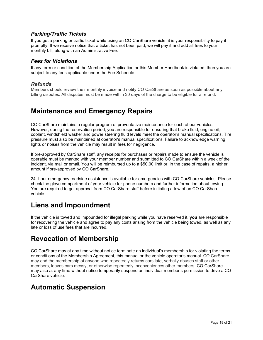## <span id="page-18-0"></span>*Parking/Traffic Tickets*

If you get a parking or traffic ticket while using an CO CarShare vehicle, it is your responsibility to pay it promptly. If we receive notice that a ticket has not been paid, we will pay it and add all fees to your monthly bill, along with an Administrative Fee.

### <span id="page-18-1"></span>*Fees for Violations*

If any term or condition of the Membership Application or this Member Handbook is violated, then you are subject to any fees applicable under the Fee Schedule.

### *Refunds*

Members should review their monthly invoice and notify CO CarShare as soon as possible about any billing disputes. All disputes must be made within 30 days of the charge to be eligible for a refund.

## <span id="page-18-2"></span>**Maintenance and Emergency Repairs**

CO CarShare maintains a regular program of preventative maintenance for each of our vehicles. However, during the reservation period, you are responsible for ensuring that brake fluid, engine oil, coolant, windshield washer and power steering fluid levels meet the operator's manual specifications. Tire pressure must also be maintained at operator's manual specifications. Failure to acknowledge warning lights or noises from the vehicle may result in fees for negligence.

If pre-approved by CarShare staff, any receipts for purchases or repairs made to ensure the vehicle is operable must be marked with your member number and submitted to CO CarShare within a week of the incident, via mail or email. You will be reimbursed up to a \$50.00 limit or, in the case of repairs, a higher amount if pre-approved by CO CarShare.

24 -hour emergency roadside assistance is available for emergencies with CO CarShare vehicles. Please check the glove compartment of your vehicle for phone numbers and further information about towing. You are required to get approval from CO CarShare staff before initiating a tow of an CO CarShare vehicle.

## <span id="page-18-3"></span>**Liens and Impoundment**

If the vehicle is towed and impounded for illegal parking while you have reserved it, **you** are responsible for recovering the vehicle and agree to pay any costs arising from the vehicle being towed, as well as any late or loss of use fees that are incurred.

## <span id="page-18-4"></span>**Revocation of Membership**

CO CarShare may at any time without notice terminate an individual's membership for violating the terms or conditions of the Membership Agreement, this manual or the vehicle operator's manual. CO CarShare may end the membership of anyone who repeatedly returns cars late, verbally abuses staff or other members, leaves cars messy, or otherwise repeatedly inconveniences other members. CO CarShare may also at any time without notice temporarily suspend an individual member's permission to drive a CO CarShare vehicle.

## <span id="page-18-5"></span>**Automatic Suspension**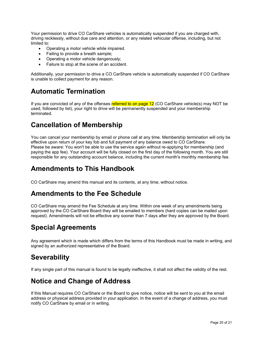Your permission to drive CO CarShare vehicles is automatically suspended if you are charged with, driving recklessly, without due care and attention, or any related vehicular offense, including, but not limited to:

- Operating a motor vehicle while impaired.
- Failing to provide a breath sample;
- Operating a motor vehicle dangerously;
- Failure to stop at the scene of an accident.

Additionally, your permission to drive a CO CarShare vehicle is automatically suspended if CO CarShare is unable to collect payment for any reason.

## <span id="page-19-0"></span>**Automatic Termination**

If you are convicted of any of the offenses referred to on page 12 (CO CarShare vehicle(s) may NOT be used, followed by list), your right to drive will be permanently suspended and your membership terminated.

## <span id="page-19-1"></span>**Cancellation of Membership**

You can cancel your membership by email or phone call at any time. Membership termination will only be effective upon return of your key fob and full payment of any balance owed to CO CarShare. Please be aware: You won't be able to use the service again without re-applying for membership (and paying the app fee). Your account will be fully closed on the first day of the following month. You are still responsible for any outstanding account balance, including the current month's monthly membership fee.

## <span id="page-19-2"></span>**Amendments to This Handbook**

CO CarShare may amend this manual and its contents, at any time, without notice.

## <span id="page-19-3"></span>**Amendments to the Fee Schedule**

CO CarShare may amend the Fee Schedule at any time. Within one week of any amendments being approved by the CO CarShare Board they will be emailed to members (hard copies can be mailed upon request). Amendments will not be effective any sooner than 7 days after they are approved by the Board.

## <span id="page-19-4"></span>**Special Agreements**

Any agreement which is made which differs from the terms of this Handbook must be made in writing, and signed by an authorized representative of the Board.

## <span id="page-19-5"></span>**Severability**

If any single part of this manual is found to be legally ineffective, it shall not affect the validity of the rest.

## <span id="page-19-6"></span>**Notice and Change of Address**

If this Manual requires CO CarShare or the Board to give notice, notice will be sent to you at the email address or physical address provided in your application. In the event of a change of address, you must notify CO CarShare by email or in writing.